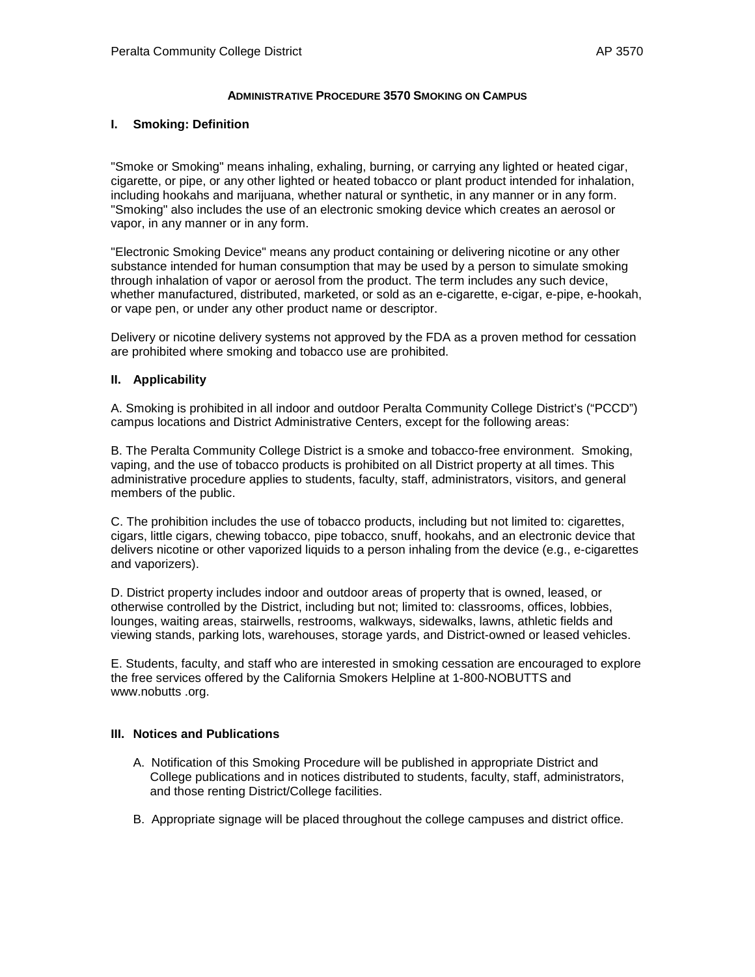# **ADMINISTRATIVE PROCEDURE 3570 SMOKING ON CAMPUS**

## **I. Smoking: Definition**

"Smoke or Smoking" means inhaling, exhaling, burning, or carrying any lighted or heated cigar, cigarette, or pipe, or any other lighted or heated tobacco or plant product intended for inhalation, including hookahs and marijuana, whether natural or synthetic, in any manner or in any form. "Smoking" also includes the use of an electronic smoking device which creates an aerosol or vapor, in any manner or in any form.

"Electronic Smoking Device" means any product containing or delivering nicotine or any other substance intended for human consumption that may be used by a person to simulate smoking through inhalation of vapor or aerosol from the product. The term includes any such device, whether manufactured, distributed, marketed, or sold as an e-cigarette, e-cigar, e-pipe, e-hookah, or vape pen, or under any other product name or descriptor.

Delivery or nicotine delivery systems not approved by the FDA as a proven method for cessation are prohibited where smoking and tobacco use are prohibited.

# **II. Applicability**

A. Smoking is prohibited in all indoor and outdoor Peralta Community College District's ("PCCD") campus locations and District Administrative Centers, except for the following areas:

B. The Peralta Community College District is a smoke and tobacco-free environment. Smoking, vaping, and the use of tobacco products is prohibited on all District property at all times. This administrative procedure applies to students, faculty, staff, administrators, visitors, and general members of the public.

C. The prohibition includes the use of tobacco products, including but not limited to: cigarettes, cigars, little cigars, chewing tobacco, pipe tobacco, snuff, hookahs, and an electronic device that delivers nicotine or other vaporized liquids to a person inhaling from the device (e.g., e-cigarettes and vaporizers).

D. District property includes indoor and outdoor areas of property that is owned, leased, or otherwise controlled by the District, including but not; limited to: classrooms, offices, lobbies, lounges, waiting areas, stairwells, restrooms, walkways, sidewalks, lawns, athletic fields and viewing stands, parking lots, warehouses, storage yards, and District-owned or leased vehicles.

E. Students, faculty, and staff who are interested in smoking cessation are encouraged to explore the free services offered by the California Smokers Helpline at 1-800-NOBUTTS and www.nobutts .org.

## **III. Notices and Publications**

- A. Notification of this Smoking Procedure will be published in appropriate District and College publications and in notices distributed to students, faculty, staff, administrators, and those renting District/College facilities.
- B. Appropriate signage will be placed throughout the college campuses and district office.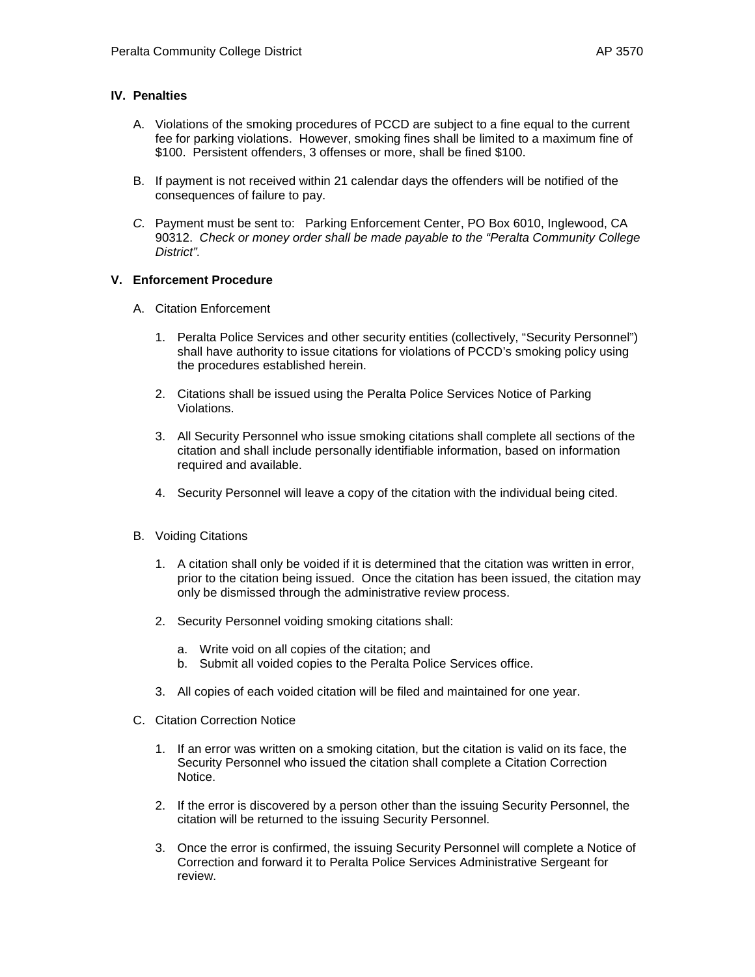# **IV. Penalties**

- A. Violations of the smoking procedures of PCCD are subject to a fine equal to the current fee for parking violations. However, smoking fines shall be limited to a maximum fine of \$100. Persistent offenders, 3 offenses or more, shall be fined \$100.
- B. If payment is not received within 21 calendar days the offenders will be notified of the consequences of failure to pay.
- *C.* Payment must be sent to: Parking Enforcement Center, PO Box 6010, Inglewood, CA 90312. *Check or money order shall be made payable to the "Peralta Community College District".*

# **V. Enforcement Procedure**

- A. Citation Enforcement
	- 1. Peralta Police Services and other security entities (collectively, "Security Personnel") shall have authority to issue citations for violations of PCCD's smoking policy using the procedures established herein.
	- 2. Citations shall be issued using the Peralta Police Services Notice of Parking Violations.
	- 3. All Security Personnel who issue smoking citations shall complete all sections of the citation and shall include personally identifiable information, based on information required and available.
	- 4. Security Personnel will leave a copy of the citation with the individual being cited.
- B. Voiding Citations
	- 1. A citation shall only be voided if it is determined that the citation was written in error, prior to the citation being issued. Once the citation has been issued, the citation may only be dismissed through the administrative review process.
	- 2. Security Personnel voiding smoking citations shall:
		- a. Write void on all copies of the citation; and
		- b. Submit all voided copies to the Peralta Police Services office.
	- 3. All copies of each voided citation will be filed and maintained for one year.
- C. Citation Correction Notice
	- 1. If an error was written on a smoking citation, but the citation is valid on its face, the Security Personnel who issued the citation shall complete a Citation Correction Notice.
	- 2. If the error is discovered by a person other than the issuing Security Personnel, the citation will be returned to the issuing Security Personnel.
	- 3. Once the error is confirmed, the issuing Security Personnel will complete a Notice of Correction and forward it to Peralta Police Services Administrative Sergeant for review.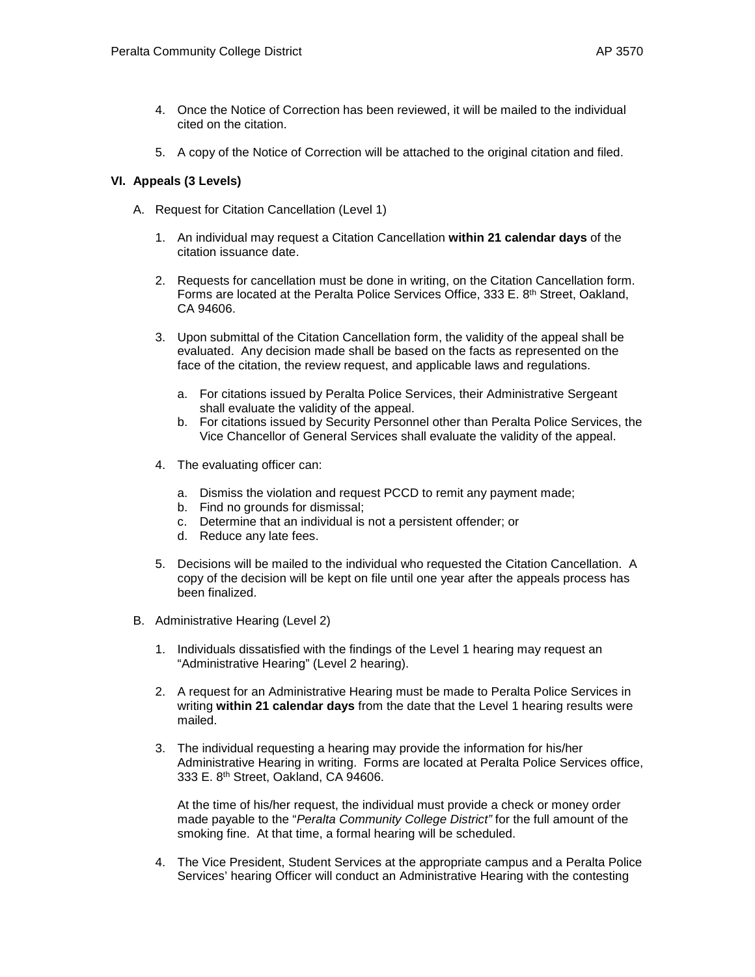- 4. Once the Notice of Correction has been reviewed, it will be mailed to the individual cited on the citation.
- 5. A copy of the Notice of Correction will be attached to the original citation and filed.

# **VI. Appeals (3 Levels)**

- A. Request for Citation Cancellation (Level 1)
	- 1. An individual may request a Citation Cancellation **within 21 calendar days** of the citation issuance date.
	- 2. Requests for cancellation must be done in writing, on the Citation Cancellation form. Forms are located at the Peralta Police Services Office, 333 E. 8th Street, Oakland, CA 94606.
	- 3. Upon submittal of the Citation Cancellation form, the validity of the appeal shall be evaluated. Any decision made shall be based on the facts as represented on the face of the citation, the review request, and applicable laws and regulations.
		- a. For citations issued by Peralta Police Services, their Administrative Sergeant shall evaluate the validity of the appeal.
		- b. For citations issued by Security Personnel other than Peralta Police Services, the Vice Chancellor of General Services shall evaluate the validity of the appeal.
	- 4. The evaluating officer can:
		- a. Dismiss the violation and request PCCD to remit any payment made;
		- b. Find no grounds for dismissal;
		- c. Determine that an individual is not a persistent offender; or
		- d. Reduce any late fees.
	- 5. Decisions will be mailed to the individual who requested the Citation Cancellation. A copy of the decision will be kept on file until one year after the appeals process has been finalized.
- B. Administrative Hearing (Level 2)
	- 1. Individuals dissatisfied with the findings of the Level 1 hearing may request an "Administrative Hearing" (Level 2 hearing).
	- 2. A request for an Administrative Hearing must be made to Peralta Police Services in writing **within 21 calendar days** from the date that the Level 1 hearing results were mailed.
	- 3. The individual requesting a hearing may provide the information for his/her Administrative Hearing in writing. Forms are located at Peralta Police Services office, 333 E. 8th Street, Oakland, CA 94606.

At the time of his/her request, the individual must provide a check or money order made payable to the "*Peralta Community College District"* for the full amount of the smoking fine. At that time, a formal hearing will be scheduled.

4. The Vice President, Student Services at the appropriate campus and a Peralta Police Services' hearing Officer will conduct an Administrative Hearing with the contesting